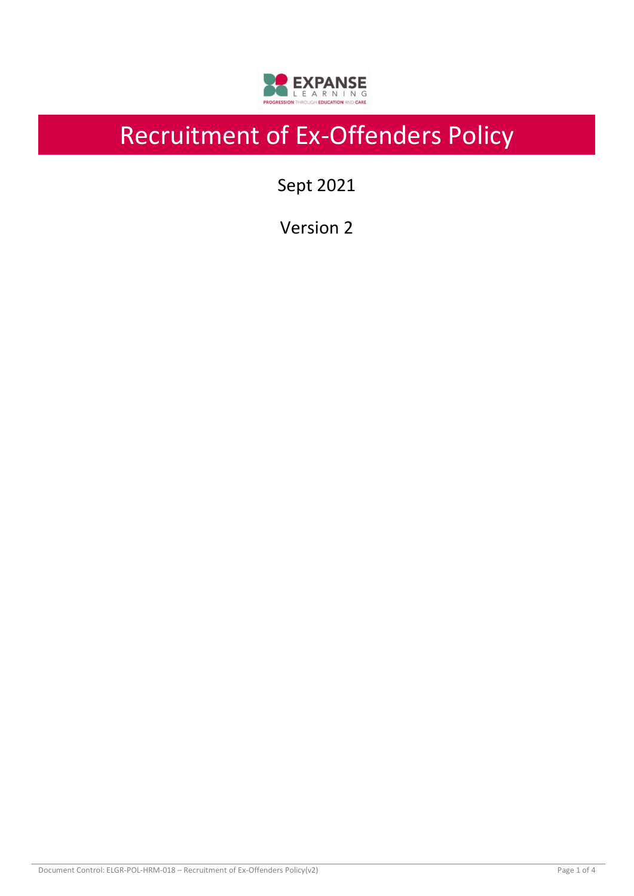

# Recruitment of Ex-Offenders Policy

Sept 2021

Version 2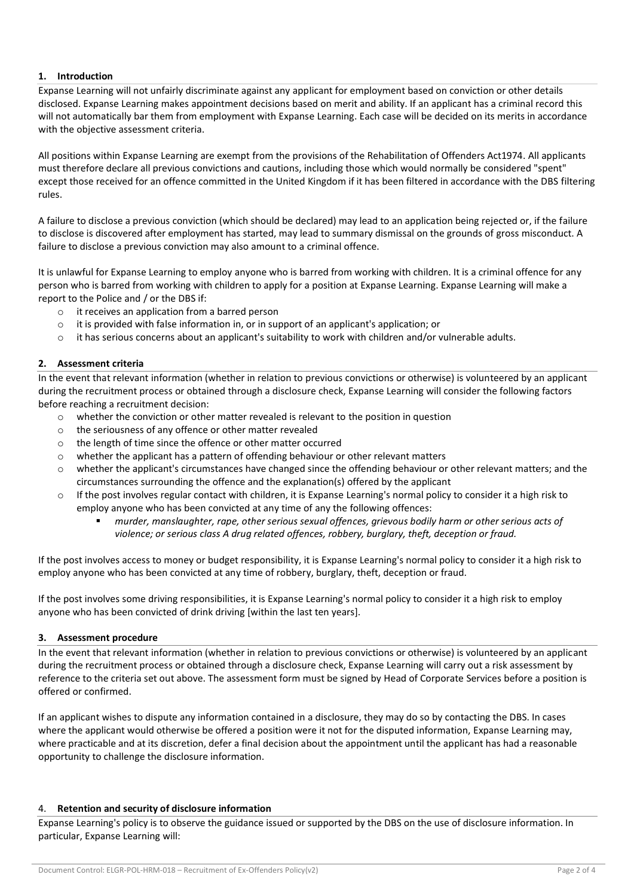## **1. Introduction**

Expanse Learning will not unfairly discriminate against any applicant for employment based on conviction or other details disclosed. Expanse Learning makes appointment decisions based on merit and ability. If an applicant has a criminal record this will not automatically bar them from employment with Expanse Learning. Each case will be decided on its merits in accordance with the objective assessment criteria.

All positions within Expanse Learning are exempt from the provisions of the Rehabilitation of Offenders Act1974. All applicants must therefore declare all previous convictions and cautions, including those which would normally be considered "spent" except those received for an offence committed in the United Kingdom if it has been filtered in accordance with the DBS filtering rules.

A failure to disclose a previous conviction (which should be declared) may lead to an application being rejected or, if the failure to disclose is discovered after employment has started, may lead to summary dismissal on the grounds of gross misconduct. A failure to disclose a previous conviction may also amount to a criminal offence.

It is unlawful for Expanse Learning to employ anyone who is barred from working with children. It is a criminal offence for any person who is barred from working with children to apply for a position at Expanse Learning. Expanse Learning will make a report to the Police and / or the DBS if:

- o it receives an application from a barred person
- $\circ$  it is provided with false information in, or in support of an applicant's application; or
- $\circ$  it has serious concerns about an applicant's suitability to work with children and/or vulnerable adults.

## **2. Assessment criteria**

In the event that relevant information (whether in relation to previous convictions or otherwise) is volunteered by an applicant during the recruitment process or obtained through a disclosure check, Expanse Learning will consider the following factors before reaching a recruitment decision:

- o whether the conviction or other matter revealed is relevant to the position in question
- o the seriousness of any offence or other matter revealed
- o the length of time since the offence or other matter occurred
- o whether the applicant has a pattern of offending behaviour or other relevant matters
- $\circ$  whether the applicant's circumstances have changed since the offending behaviour or other relevant matters; and the circumstances surrounding the offence and the explanation(s) offered by the applicant
- o If the post involves regular contact with children, it is Expanse Learning's normal policy to consider it a high risk to employ anyone who has been convicted at any time of any the following offences:
	- *murder, manslaughter, rape, other serious sexual offences, grievous bodily harm or other serious acts of violence; or serious class A drug related offences, robbery, burglary, theft, deception or fraud.*

If the post involves access to money or budget responsibility, it is Expanse Learning's normal policy to consider it a high risk to employ anyone who has been convicted at any time of robbery, burglary, theft, deception or fraud.

If the post involves some driving responsibilities, it is Expanse Learning's normal policy to consider it a high risk to employ anyone who has been convicted of drink driving [within the last ten years].

## **3. Assessment procedure**

In the event that relevant information (whether in relation to previous convictions or otherwise) is volunteered by an applicant during the recruitment process or obtained through a disclosure check, Expanse Learning will carry out a risk assessment by reference to the criteria set out above. The assessment form must be signed by Head of Corporate Services before a position is offered or confirmed.

If an applicant wishes to dispute any information contained in a disclosure, they may do so by contacting the DBS. In cases where the applicant would otherwise be offered a position were it not for the disputed information, Expanse Learning may, where practicable and at its discretion, defer a final decision about the appointment until the applicant has had a reasonable opportunity to challenge the disclosure information.

## 4. **Retention and security of disclosure information**

Expanse Learning's policy is to observe the guidance issued or supported by the DBS on the use of disclosure information. In particular, Expanse Learning will: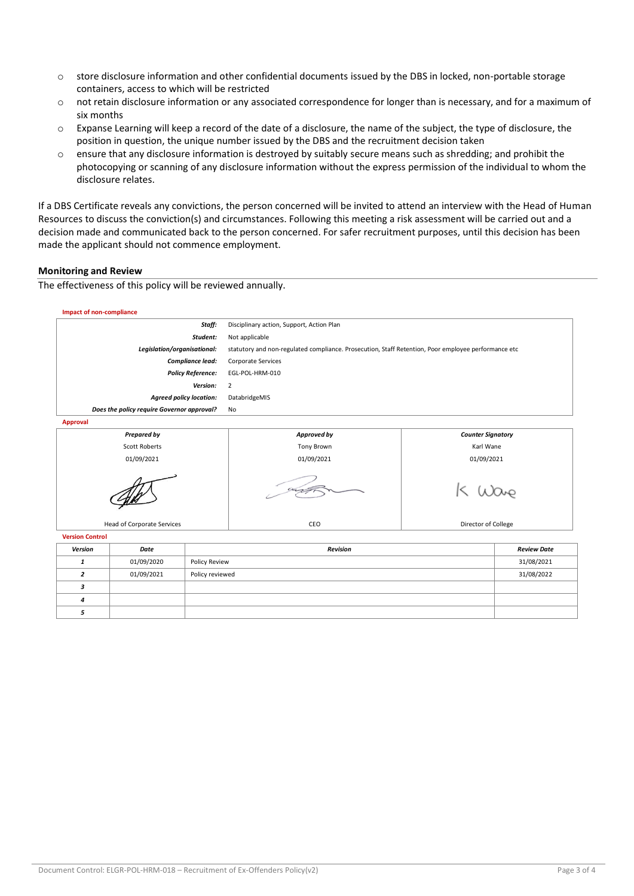- o store disclosure information and other confidential documents issued by the DBS in locked, non-portable storage containers, access to which will be restricted
- $\circ$  not retain disclosure information or any associated correspondence for longer than is necessary, and for a maximum of six months
- $\circ$  Expanse Learning will keep a record of the date of a disclosure, the name of the subject, the type of disclosure, the position in question, the unique number issued by the DBS and the recruitment decision taken
- o ensure that any disclosure information is destroyed by suitably secure means such as shredding; and prohibit the photocopying or scanning of any disclosure information without the express permission of the individual to whom the disclosure relates.

If a DBS Certificate reveals any convictions, the person concerned will be invited to attend an interview with the Head of Human Resources to discuss the conviction(s) and circumstances. Following this meeting a risk assessment will be carried out and a decision made and communicated back to the person concerned. For safer recruitment purposes, until this decision has been made the applicant should not commence employment.

## **Monitoring and Review**

The effectiveness of this policy will be reviewed annually.

| <b>Impact of non-compliance</b>                 |            |                 |                                                                                                     |            |                          |  |
|-------------------------------------------------|------------|-----------------|-----------------------------------------------------------------------------------------------------|------------|--------------------------|--|
| Staff:                                          |            |                 | Disciplinary action, Support, Action Plan                                                           |            |                          |  |
| Student:                                        |            |                 | Not applicable                                                                                      |            |                          |  |
| Legislation/organisational:                     |            |                 | statutory and non-regulated compliance. Prosecution, Staff Retention, Poor employee performance etc |            |                          |  |
| Compliance lead:                                |            |                 | Corporate Services                                                                                  |            |                          |  |
| <b>Policy Reference:</b>                        |            |                 | EGL-POL-HRM-010                                                                                     |            |                          |  |
| Version:                                        |            |                 | $\overline{2}$                                                                                      |            |                          |  |
| <b>Agreed policy location:</b>                  |            |                 | DatabridgeMIS                                                                                       |            |                          |  |
| Does the policy require Governor approval?      |            |                 | No                                                                                                  |            |                          |  |
| <b>Approval</b>                                 |            |                 |                                                                                                     |            |                          |  |
| <b>Prepared by</b>                              |            |                 | Approved by                                                                                         |            | <b>Counter Signatory</b> |  |
| <b>Scott Roberts</b>                            |            |                 | <b>Tony Brown</b>                                                                                   | Karl Wane  |                          |  |
| 01/09/2021                                      |            |                 | 01/09/2021                                                                                          | 01/09/2021 |                          |  |
|                                                 |            |                 |                                                                                                     |            |                          |  |
| <b>Head of Corporate Services</b>               |            |                 | CEO                                                                                                 |            | Director of College      |  |
| <b>Version Control</b>                          |            |                 |                                                                                                     |            |                          |  |
| <b>Version</b>                                  | Date       | <b>Revision</b> |                                                                                                     |            | <b>Review Date</b>       |  |
| $\mathbf{1}$                                    | 01/09/2020 | Policy Review   |                                                                                                     |            | 31/08/2021               |  |
| 01/09/2021<br>$\overline{2}$<br>Policy reviewed |            |                 |                                                                                                     |            | 31/08/2022               |  |
| 3                                               |            |                 |                                                                                                     |            |                          |  |
| 4                                               |            |                 |                                                                                                     |            |                          |  |
| 5                                               |            |                 |                                                                                                     |            |                          |  |